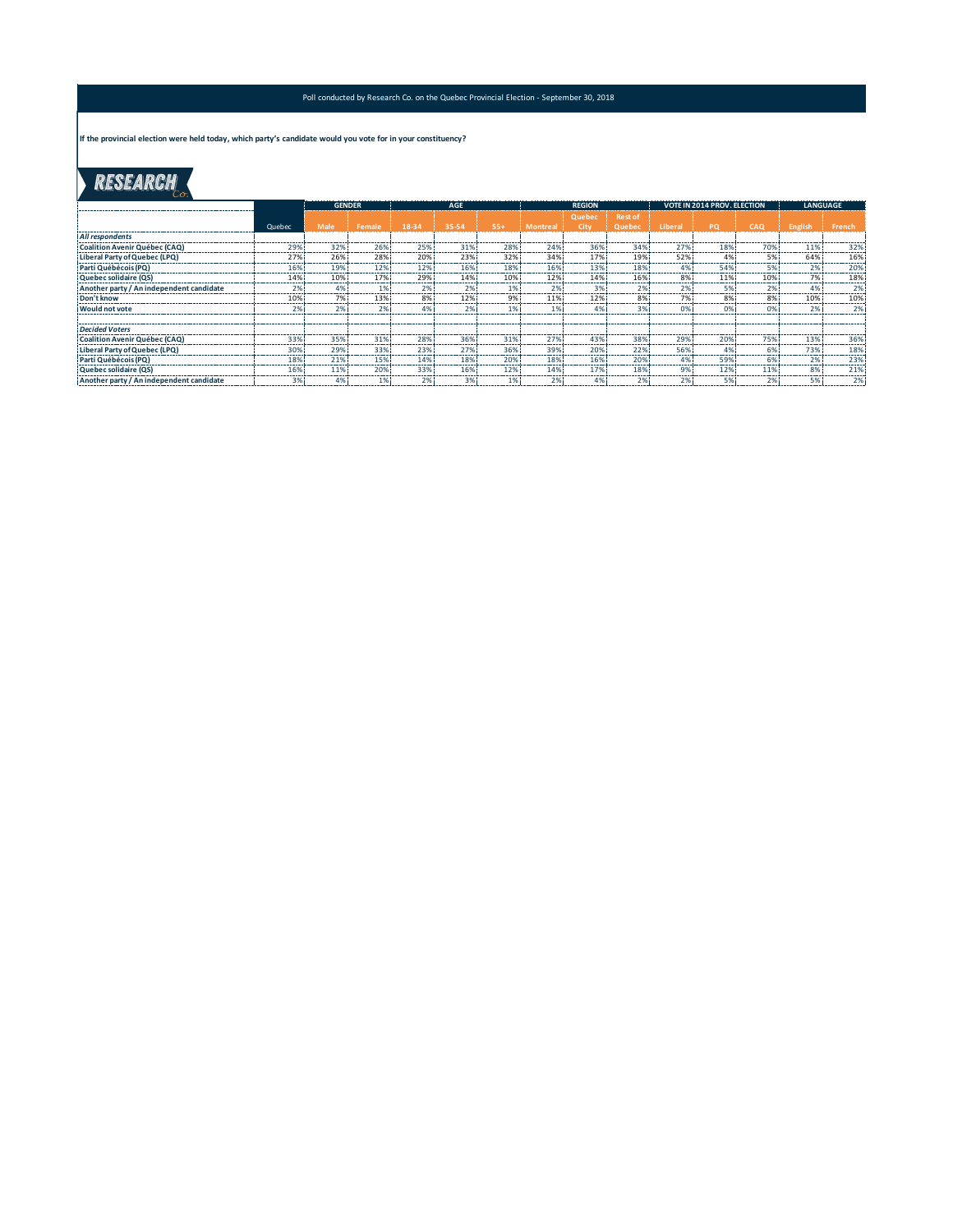#### Poll conducted by Research Co. on the Quebec Provincial Election - September 30, 2018

**If the provincial election were held today, which party's candidate would you vote for in your constituency?**

# RESEARCH

Ŋ

|                                          |        | <b>GENDER</b> |        | <b>AGE</b>     |         |         | <b>REGION</b> |              |                | <b>VOTE IN 2014 PROV. ELECTION</b> |              |                     | <b>LANGUAGE</b> |               |
|------------------------------------------|--------|---------------|--------|----------------|---------|---------|---------------|--------------|----------------|------------------------------------|--------------|---------------------|-----------------|---------------|
|                                          |        |               |        |                |         |         |               | Quebec       | <b>Rest of</b> |                                    |              |                     |                 |               |
|                                          | Quebec | Male          | Female | 18-34          | 35-54   | 55+     | Montre:       | City         | Quebec         | Libera                             | PO           | CAO                 | <b>English</b>  | French        |
| All respondents                          |        |               |        |                |         |         |               |              |                |                                    |              |                     |                 |               |
| Coalition Avenir Québec (CAQ)            | 29%    | 32%           | 26%    | 25%            | 31%     | 28%     | 24%           | 36%          | 34%            | 27%                                | 18%          | 70%                 | 11%             | 32%           |
| Liberal Party of Quebec (LPQ)            | 27%    | 26%           | 28%    | 20%            | 23%     | 32%     | 34%           | 17%          | 19%            | 52%                                | 4%           | 5%                  | 64%             | 16%<br>       |
| Parti Québécois (PQ)                     | 16%    | 19%           | 12%    | 12%            | 16%     | 18%     | 16%           | 13%          | 18%<br>-----   | 4%<br>-----                        | 54%<br>.     | 5%<br>------        | 2%<br>          | 20%           |
| Quebec solidaire (QS)                    | 14%    | 10%           | 17%    | 29%            | 14%     | 10%     | 12%           | 14%          | 16%            | 8%                                 | 11%          | 10%                 | 7%<br>--------- | 18%           |
| Another party / An independent candidate | 2%     | 4%            |        | ------         | ------- | ------- | 2%<br>------  | 3%<br>------ | 2%<br>         | 2%<br>                             | ------       | 2%<br>------        | 4%<br>--------  | 2%<br>------- |
| Don't know                               | 10%    | 7%<br>------- | 13%    | 8%<br>-------- | 12%     | 9%      | 11%           | 12%          | 8%<br>------   | 7%<br>-----------                  | 8%<br>------ | 8%<br>------------- | 10%<br>         | 10%<br>       |
| <b>Would not vote</b>                    | 2%     | <b>270</b>    | 2%     |                | 270     |         |               | 4%           | 3%             |                                    | 0%           | 0%                  | 2%              | 2%            |
|                                          |        |               |        |                |         |         |               |              |                |                                    |              |                     |                 |               |
| <b>Decided Voters</b>                    |        |               |        |                |         |         |               |              |                |                                    |              |                     |                 |               |
| Coalition Avenir Québec (CAQ)            | 33%    | 35%           | 31%    | 28%            | 36%     | 31%     | 27%           | 43%          | 38%            | 29%<br>-----                       | 20%          | 75%                 | 13%             | 36%<br>------ |
| Liberal Party of Quebec (LPQ)            | 30%    | 29%           | 33%    | 23%            | 27%     | 36%     | 39%           | 20%          | 22%            | 56%                                | 4%           | 6%                  | 73%             | 18%           |
| Parti Québécois (PQ)                     | 18%    | 21%           | 15%    | 14%            | 18%     | 20%     | 18%           | 16%          | 20%            | 4%                                 | 59%          | 6%                  | 2%              | 23%<br>       |
| Quebec solidaire (QS)                    | 16%    | 11%           | 20%    | 33%            | 16%     | 12%     | 14%           | 17%          | 18%            | 9%                                 | 12%          | 11%                 | 8%              | 21%           |
| Another party / An independent candidate | 3%     | 4%            | 1%     | 2%             | 3%      | 1%      | 2%            | 4%           | 2%             | 2%                                 | 5%           | 2%                  | 5%              | 2%            |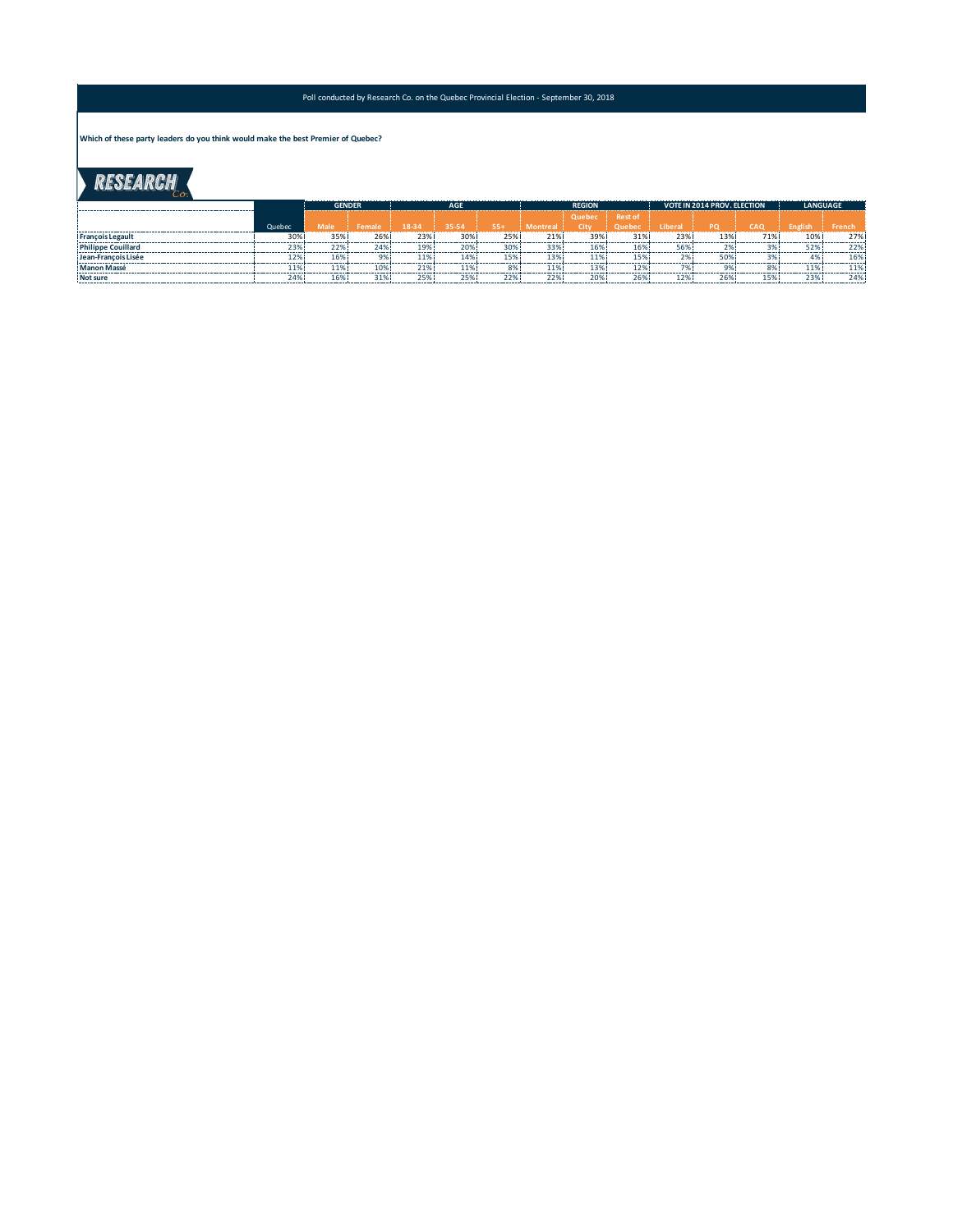#### Poll conducted by Research Co. on the Quebec Provincial Election - September 30, 2018

**Which of these party leaders do you think would make the best Premier of Quebec?**

## RESEARCH

|                           |        | <b>GENDER</b> |        | <b>AGF</b> |       |     | <b>REGION</b> |        |                | VOTE IN 2014 PROV. ELECTION |           |     | <b>LANGUAGE</b> |  |
|---------------------------|--------|---------------|--------|------------|-------|-----|---------------|--------|----------------|-----------------------------|-----------|-----|-----------------|--|
|                           |        |               |        |            |       |     |               | Quebec | <b>Rest of</b> |                             |           |     |                 |  |
|                           | Quebec | <b>Male</b>   | Female | 18-34      | 35-54 | 55+ | Montreal      | City   | Ouebec         | Liberal <sup>1</sup>        | <b>PO</b> | CAO |                 |  |
| <b>Francois Legault</b>   | 30%    | 35%           | 269    | 23%        | 30%   |     | 21%           | 39%    | 319            | 23%                         | 13%       | 71% | 10%             |  |
| <b>Philippe Couillard</b> |        | 229           |        |            |       |     |               |        |                |                             |           |     |                 |  |
| Jean-Francois Lisée       |        | 169           |        |            |       |     |               |        |                |                             | 509       |     |                 |  |
| <b>Manon Massé</b>        |        | 110.          |        |            |       |     | ------        |        |                |                             |           |     |                 |  |
| Not sure                  | 249    | 169           | 31'    |            |       |     | າ າ ດ         | 209    |                |                             | $\sim$    |     | າາດ             |  |